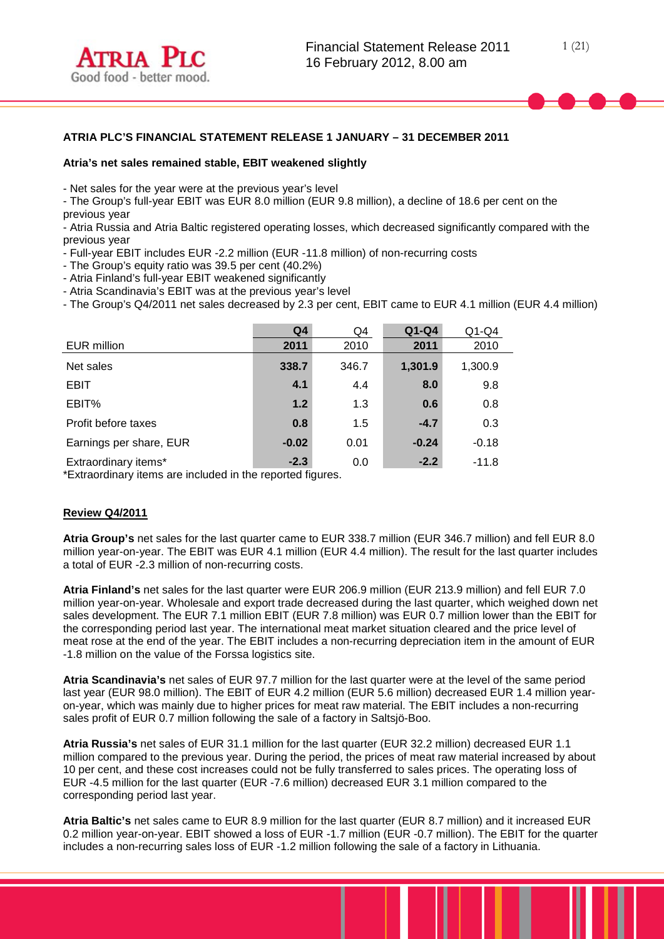

# **ATRIA PLC'S FINANCIAL STATEMENT RELEASE 1 JANUARY – 31 DECEMBER 2011**

## **Atria's net sales remained stable, EBIT weakened slightly**

- Net sales for the year were at the previous year's level

- The Group's full-year EBIT was EUR 8.0 million (EUR 9.8 million), a decline of 18.6 per cent on the previous year

- Atria Russia and Atria Baltic registered operating losses, which decreased significantly compared with the previous year

- Full-year EBIT includes EUR -2.2 million (EUR -11.8 million) of non-recurring costs

- The Group's equity ratio was 39.5 per cent (40.2%)

- Atria Finland's full-year EBIT weakened significantly

- Atria Scandinavia's EBIT was at the previous year's level

- The Group's Q4/2011 net sales decreased by 2.3 per cent, EBIT came to EUR 4.1 million (EUR 4.4 million)

|                         | Q <sub>4</sub> | Q4    | $Q1-Q4$ | $Q1-Q4$ |
|-------------------------|----------------|-------|---------|---------|
| EUR million             | 2011           | 2010  | 2011    | 2010    |
| Net sales               | 338.7          | 346.7 | 1,301.9 | 1,300.9 |
| <b>EBIT</b>             | 4.1            | 4.4   | 8.0     | 9.8     |
| EBIT%                   | $1.2$          | 1.3   | 0.6     | 0.8     |
| Profit before taxes     | 0.8            | 1.5   | $-4.7$  | 0.3     |
| Earnings per share, EUR | $-0.02$        | 0.01  | $-0.24$ | $-0.18$ |
| Extraordinary items*    | $-2.3$         | 0.0   | $-2.2$  | $-11.8$ |

\*Extraordinary items are included in the reported figures.

# **Review Q4/2011**

**Atria Group's** net sales for the last quarter came to EUR 338.7 million (EUR 346.7 million) and fell EUR 8.0 million year-on-year. The EBIT was EUR 4.1 million (EUR 4.4 million). The result for the last quarter includes a total of EUR -2.3 million of non-recurring costs.

**Atria Finland's** net sales for the last quarter were EUR 206.9 million (EUR 213.9 million) and fell EUR 7.0 million year-on-year. Wholesale and export trade decreased during the last quarter, which weighed down net sales development. The EUR 7.1 million EBIT (EUR 7.8 million) was EUR 0.7 million lower than the EBIT for the corresponding period last year. The international meat market situation cleared and the price level of meat rose at the end of the year. The EBIT includes a non-recurring depreciation item in the amount of EUR -1.8 million on the value of the Forssa logistics site.

**Atria Scandinavia's** net sales of EUR 97.7 million for the last quarter were at the level of the same period last year (EUR 98.0 million). The EBIT of EUR 4.2 million (EUR 5.6 million) decreased EUR 1.4 million yearon-year, which was mainly due to higher prices for meat raw material. The EBIT includes a non-recurring sales profit of EUR 0.7 million following the sale of a factory in Saltsjö-Boo.

**Atria Russia's** net sales of EUR 31.1 million for the last quarter (EUR 32.2 million) decreased EUR 1.1 million compared to the previous year. During the period, the prices of meat raw material increased by about 10 per cent, and these cost increases could not be fully transferred to sales prices. The operating loss of EUR -4.5 million for the last quarter (EUR -7.6 million) decreased EUR 3.1 million compared to the corresponding period last year.

**Atria Baltic's** net sales came to EUR 8.9 million for the last quarter (EUR 8.7 million) and it increased EUR 0.2 million year-on-year. EBIT showed a loss of EUR -1.7 million (EUR -0.7 million). The EBIT for the quarter includes a non-recurring sales loss of EUR -1.2 million following the sale of a factory in Lithuania.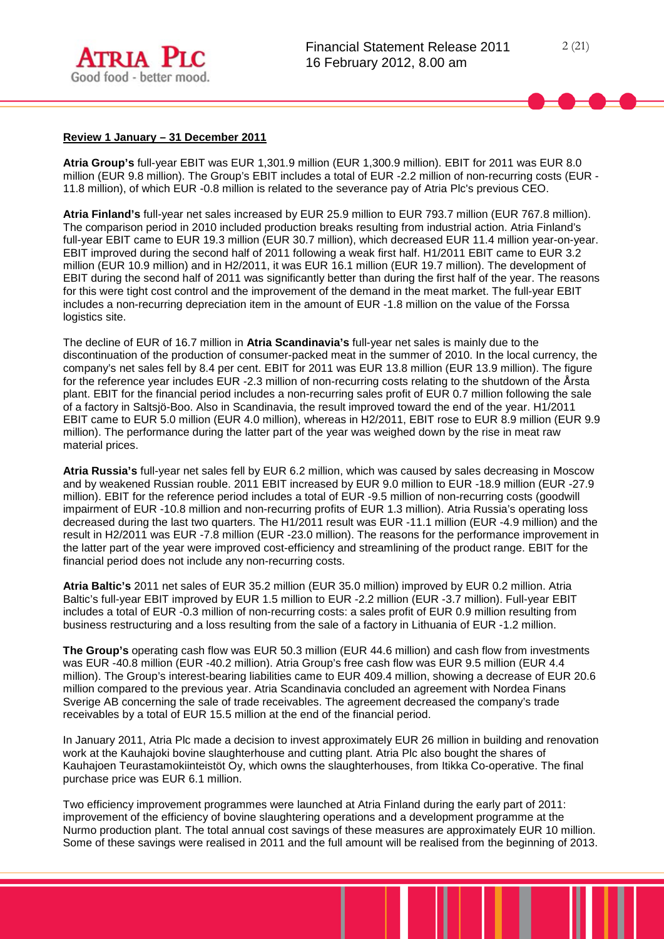

## **Review 1 January – 31 December 2011**

**Atria Group's** full-year EBIT was EUR 1,301.9 million (EUR 1,300.9 million). EBIT for 2011 was EUR 8.0 million (EUR 9.8 million). The Group's EBIT includes a total of EUR -2.2 million of non-recurring costs (EUR - 11.8 million), of which EUR -0.8 million is related to the severance pay of Atria Plc's previous CEO.

**Atria Finland's** full-year net sales increased by EUR 25.9 million to EUR 793.7 million (EUR 767.8 million). The comparison period in 2010 included production breaks resulting from industrial action. Atria Finland's full-year EBIT came to EUR 19.3 million (EUR 30.7 million), which decreased EUR 11.4 million year-on-year. EBIT improved during the second half of 2011 following a weak first half. H1/2011 EBIT came to EUR 3.2 million (EUR 10.9 million) and in H2/2011, it was EUR 16.1 million (EUR 19.7 million). The development of EBIT during the second half of 2011 was significantly better than during the first half of the year. The reasons for this were tight cost control and the improvement of the demand in the meat market. The full-year EBIT includes a non-recurring depreciation item in the amount of EUR -1.8 million on the value of the Forssa logistics site.

The decline of EUR of 16.7 million in **Atria Scandinavia's** full-year net sales is mainly due to the discontinuation of the production of consumer-packed meat in the summer of 2010. In the local currency, the company's net sales fell by 8.4 per cent. EBIT for 2011 was EUR 13.8 million (EUR 13.9 million). The figure for the reference year includes EUR -2.3 million of non-recurring costs relating to the shutdown of the Årsta plant. EBIT for the financial period includes a non-recurring sales profit of EUR 0.7 million following the sale of a factory in Saltsjö-Boo. Also in Scandinavia, the result improved toward the end of the year. H1/2011 EBIT came to EUR 5.0 million (EUR 4.0 million), whereas in H2/2011, EBIT rose to EUR 8.9 million (EUR 9.9 million). The performance during the latter part of the year was weighed down by the rise in meat raw material prices.

**Atria Russia's** full-year net sales fell by EUR 6.2 million, which was caused by sales decreasing in Moscow and by weakened Russian rouble. 2011 EBIT increased by EUR 9.0 million to EUR -18.9 million (EUR -27.9 million). EBIT for the reference period includes a total of EUR -9.5 million of non-recurring costs (goodwill impairment of EUR -10.8 million and non-recurring profits of EUR 1.3 million). Atria Russia's operating loss decreased during the last two quarters. The H1/2011 result was EUR -11.1 million (EUR -4.9 million) and the result in H2/2011 was EUR -7.8 million (EUR -23.0 million). The reasons for the performance improvement in the latter part of the year were improved cost-efficiency and streamlining of the product range. EBIT for the financial period does not include any non-recurring costs.

**Atria Baltic's** 2011 net sales of EUR 35.2 million (EUR 35.0 million) improved by EUR 0.2 million. Atria Baltic's full-year EBIT improved by EUR 1.5 million to EUR -2.2 million (EUR -3.7 million). Full-year EBIT includes a total of EUR -0.3 million of non-recurring costs: a sales profit of EUR 0.9 million resulting from business restructuring and a loss resulting from the sale of a factory in Lithuania of EUR -1.2 million.

**The Group's** operating cash flow was EUR 50.3 million (EUR 44.6 million) and cash flow from investments was EUR -40.8 million (EUR -40.2 million). Atria Group's free cash flow was EUR 9.5 million (EUR 4.4 million). The Group's interest-bearing liabilities came to EUR 409.4 million, showing a decrease of EUR 20.6 million compared to the previous year. Atria Scandinavia concluded an agreement with Nordea Finans Sverige AB concerning the sale of trade receivables. The agreement decreased the company's trade receivables by a total of EUR 15.5 million at the end of the financial period.

In January 2011, Atria Plc made a decision to invest approximately EUR 26 million in building and renovation work at the Kauhajoki bovine slaughterhouse and cutting plant. Atria Plc also bought the shares of Kauhajoen Teurastamokiinteistöt Oy, which owns the slaughterhouses, from Itikka Co-operative. The final purchase price was EUR 6.1 million.

Two efficiency improvement programmes were launched at Atria Finland during the early part of 2011: improvement of the efficiency of bovine slaughtering operations and a development programme at the Nurmo production plant. The total annual cost savings of these measures are approximately EUR 10 million. Some of these savings were realised in 2011 and the full amount will be realised from the beginning of 2013.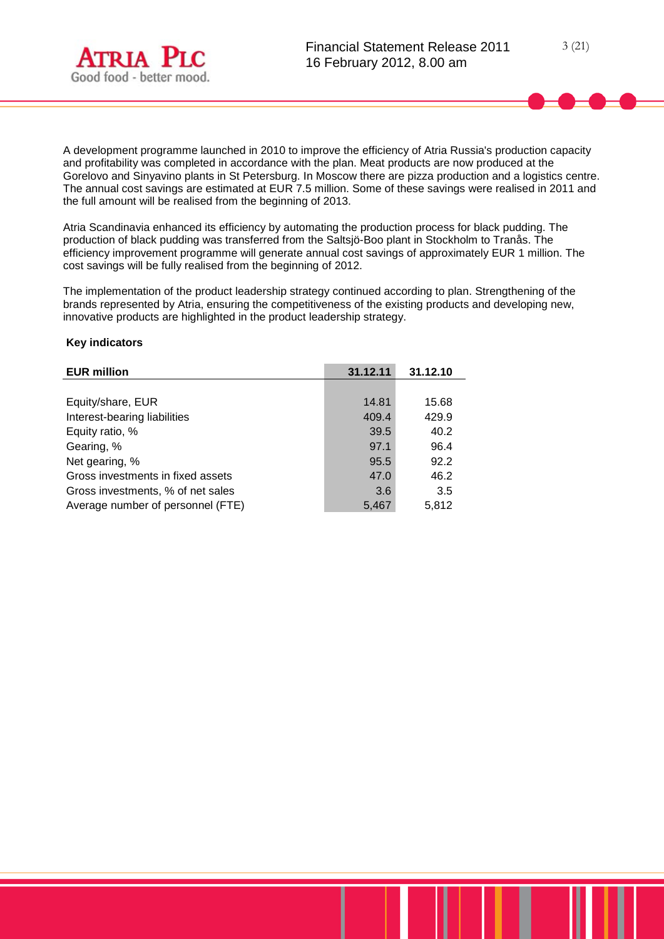

A development programme launched in 2010 to improve the efficiency of Atria Russia's production capacity and profitability was completed in accordance with the plan. Meat products are now produced at the Gorelovo and Sinyavino plants in St Petersburg. In Moscow there are pizza production and a logistics centre. The annual cost savings are estimated at EUR 7.5 million. Some of these savings were realised in 2011 and the full amount will be realised from the beginning of 2013.

Atria Scandinavia enhanced its efficiency by automating the production process for black pudding. The production of black pudding was transferred from the Saltsjö-Boo plant in Stockholm to Tranås. The efficiency improvement programme will generate annual cost savings of approximately EUR 1 million. The cost savings will be fully realised from the beginning of 2012.

The implementation of the product leadership strategy continued according to plan. Strengthening of the brands represented by Atria, ensuring the competitiveness of the existing products and developing new, innovative products are highlighted in the product leadership strategy.

## **Key indicators**

| <b>EUR million</b>                | 31.12.11 | 31.12.10 |
|-----------------------------------|----------|----------|
|                                   |          |          |
| Equity/share, EUR                 | 14.81    | 15.68    |
| Interest-bearing liabilities      | 409.4    | 429.9    |
| Equity ratio, %                   | 39.5     | 40.2     |
| Gearing, %                        | 97.1     | 96.4     |
| Net gearing, %                    | 95.5     | 92.2     |
| Gross investments in fixed assets | 47.0     | 46.2     |
| Gross investments, % of net sales | 3.6      | 3.5      |
| Average number of personnel (FTE) | 5,467    | 5,812    |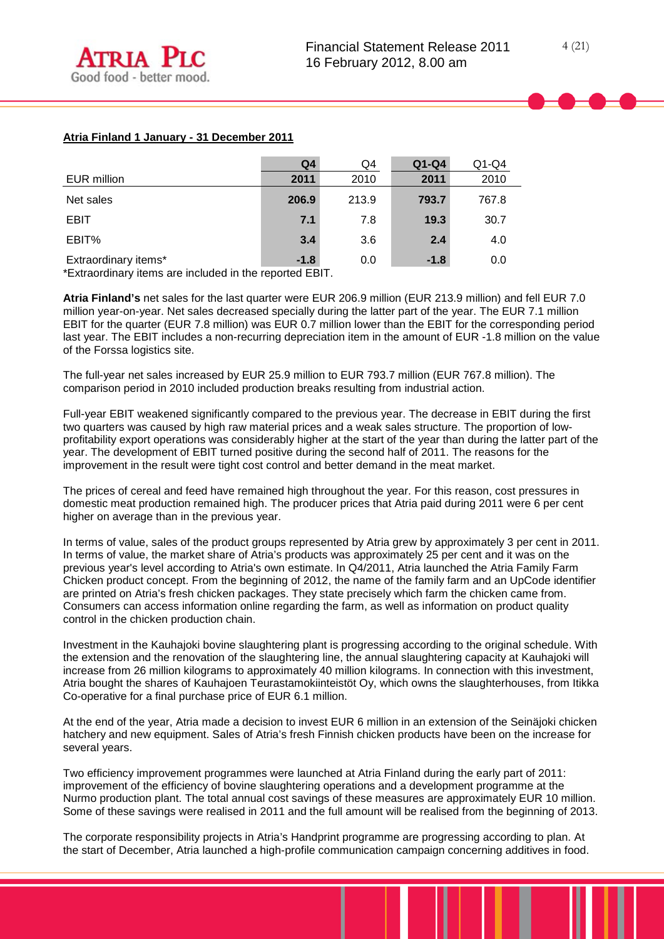# **Atria Finland 1 January - 31 December 2011**

|                      | Q <sub>4</sub> | Q4    | $Q1-Q4$ | $Q1-Q4$ |
|----------------------|----------------|-------|---------|---------|
| EUR million          | 2011           | 2010  | 2011    | 2010    |
| Net sales            | 206.9          | 213.9 | 793.7   | 767.8   |
| <b>EBIT</b>          | 7.1            | 7.8   | 19.3    | 30.7    |
| EBIT%                | 3.4            | 3.6   | 2.4     | 4.0     |
| Extraordinary items* | $-1.8$         | 0.0   | $-1.8$  | 0.0     |

\*Extraordinary items are included in the reported EBIT.

**Atria Finland's** net sales for the last quarter were EUR 206.9 million (EUR 213.9 million) and fell EUR 7.0 million year-on-year. Net sales decreased specially during the latter part of the year. The EUR 7.1 million EBIT for the quarter (EUR 7.8 million) was EUR 0.7 million lower than the EBIT for the corresponding period last year. The EBIT includes a non-recurring depreciation item in the amount of EUR -1.8 million on the value of the Forssa logistics site.

The full-year net sales increased by EUR 25.9 million to EUR 793.7 million (EUR 767.8 million). The comparison period in 2010 included production breaks resulting from industrial action.

Full-year EBIT weakened significantly compared to the previous year. The decrease in EBIT during the first two quarters was caused by high raw material prices and a weak sales structure. The proportion of lowprofitability export operations was considerably higher at the start of the year than during the latter part of the year. The development of EBIT turned positive during the second half of 2011. The reasons for the improvement in the result were tight cost control and better demand in the meat market.

The prices of cereal and feed have remained high throughout the year. For this reason, cost pressures in domestic meat production remained high. The producer prices that Atria paid during 2011 were 6 per cent higher on average than in the previous year.

In terms of value, sales of the product groups represented by Atria grew by approximately 3 per cent in 2011. In terms of value, the market share of Atria's products was approximately 25 per cent and it was on the previous year's level according to Atria's own estimate. In Q4/2011, Atria launched the Atria Family Farm Chicken product concept. From the beginning of 2012, the name of the family farm and an UpCode identifier are printed on Atria's fresh chicken packages. They state precisely which farm the chicken came from. Consumers can access information online regarding the farm, as well as information on product quality control in the chicken production chain.

Investment in the Kauhajoki bovine slaughtering plant is progressing according to the original schedule. With the extension and the renovation of the slaughtering line, the annual slaughtering capacity at Kauhajoki will increase from 26 million kilograms to approximately 40 million kilograms. In connection with this investment, Atria bought the shares of Kauhajoen Teurastamokiinteistöt Oy, which owns the slaughterhouses, from Itikka Co-operative for a final purchase price of EUR 6.1 million.

At the end of the year, Atria made a decision to invest EUR 6 million in an extension of the Seinäjoki chicken hatchery and new equipment. Sales of Atria's fresh Finnish chicken products have been on the increase for several years.

Two efficiency improvement programmes were launched at Atria Finland during the early part of 2011: improvement of the efficiency of bovine slaughtering operations and a development programme at the Nurmo production plant. The total annual cost savings of these measures are approximately EUR 10 million. Some of these savings were realised in 2011 and the full amount will be realised from the beginning of 2013.

The corporate responsibility projects in Atria's Handprint programme are progressing according to plan. At the start of December, Atria launched a high-profile communication campaign concerning additives in food.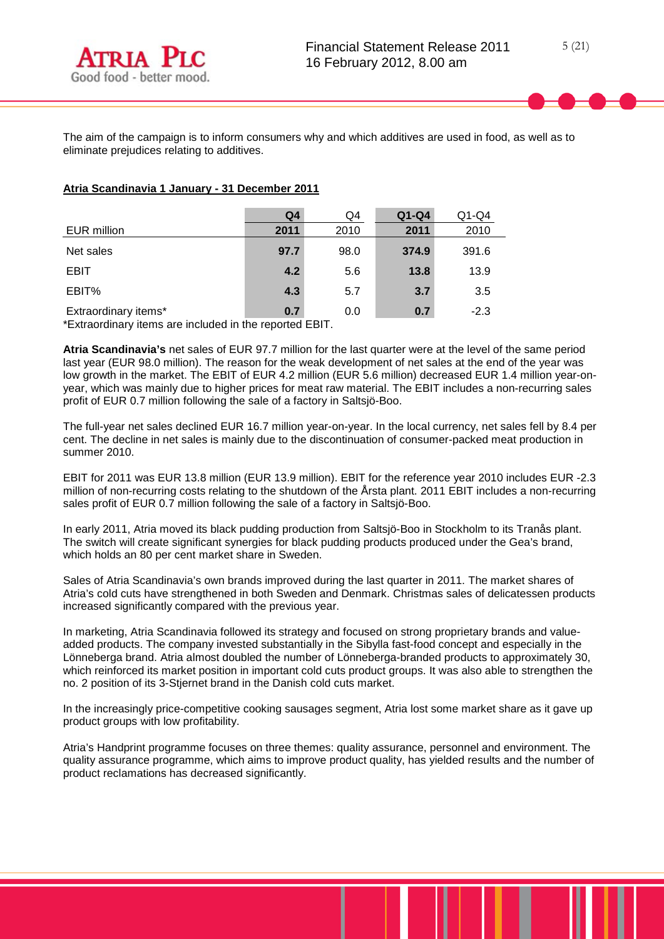The aim of the campaign is to inform consumers why and which additives are used in food, as well as to eliminate prejudices relating to additives.

# **Atria Scandinavia 1 January - 31 December 2011**

|                      | Q <sub>4</sub> | Q4   | $Q1-Q4$ | $Q1-Q4$ |
|----------------------|----------------|------|---------|---------|
| EUR million          | 2011           | 2010 | 2011    | 2010    |
| Net sales            | 97.7           | 98.0 | 374.9   | 391.6   |
| <b>EBIT</b>          | 4.2            | 5.6  | 13.8    | 13.9    |
| EBIT%                | 4.3            | 5.7  | 3.7     | 3.5     |
| Extraordinary items* | 0.7            | 0.0  | 0.7     | $-2.3$  |

\*Extraordinary items are included in the reported EBIT.

**Atria Scandinavia's** net sales of EUR 97.7 million for the last quarter were at the level of the same period last year (EUR 98.0 million). The reason for the weak development of net sales at the end of the year was low growth in the market. The EBIT of EUR 4.2 million (EUR 5.6 million) decreased EUR 1.4 million year-onyear, which was mainly due to higher prices for meat raw material. The EBIT includes a non-recurring sales profit of EUR 0.7 million following the sale of a factory in Saltsjö-Boo.

The full-year net sales declined EUR 16.7 million year-on-year. In the local currency, net sales fell by 8.4 per cent. The decline in net sales is mainly due to the discontinuation of consumer-packed meat production in summer 2010.

EBIT for 2011 was EUR 13.8 million (EUR 13.9 million). EBIT for the reference year 2010 includes EUR -2.3 million of non-recurring costs relating to the shutdown of the Årsta plant. 2011 EBIT includes a non-recurring sales profit of EUR 0.7 million following the sale of a factory in Saltsjö-Boo.

In early 2011, Atria moved its black pudding production from Saltsjö-Boo in Stockholm to its Tranås plant. The switch will create significant synergies for black pudding products produced under the Gea's brand, which holds an 80 per cent market share in Sweden.

Sales of Atria Scandinavia's own brands improved during the last quarter in 2011. The market shares of Atria's cold cuts have strengthened in both Sweden and Denmark. Christmas sales of delicatessen products increased significantly compared with the previous year.

In marketing, Atria Scandinavia followed its strategy and focused on strong proprietary brands and valueadded products. The company invested substantially in the Sibylla fast-food concept and especially in the Lönneberga brand. Atria almost doubled the number of Lönneberga-branded products to approximately 30, which reinforced its market position in important cold cuts product groups. It was also able to strengthen the no. 2 position of its 3-Stjernet brand in the Danish cold cuts market.

In the increasingly price-competitive cooking sausages segment, Atria lost some market share as it gave up product groups with low profitability.

Atria's Handprint programme focuses on three themes: quality assurance, personnel and environment. The quality assurance programme, which aims to improve product quality, has yielded results and the number of product reclamations has decreased significantly.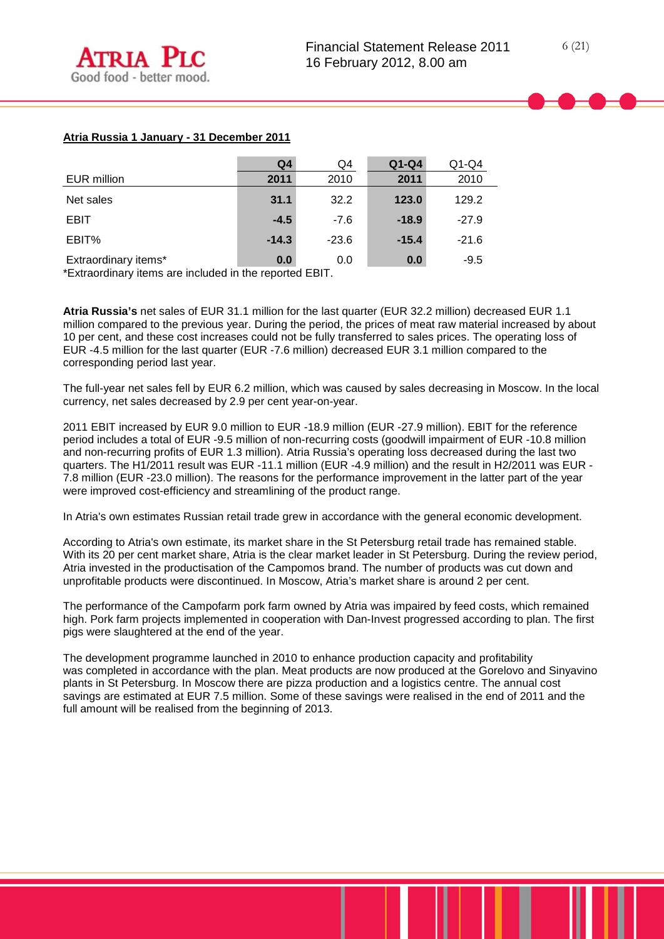# **Atria Russia 1 January - 31 December 2011**

|                      | Q4      | Q4      | $Q1-Q4$ | $Q1-Q4$ |
|----------------------|---------|---------|---------|---------|
| EUR million          | 2011    | 2010    | 2011    | 2010    |
| Net sales            | 31.1    | 32.2    | 123.0   | 129.2   |
| <b>EBIT</b>          | $-4.5$  | $-7.6$  | $-18.9$ | $-27.9$ |
| EBIT%                | $-14.3$ | $-23.6$ | $-15.4$ | $-21.6$ |
| Extraordinary items* | 0.0     | 0.0     | 0.0     | $-9.5$  |

\*Extraordinary items are included in the reported EBIT.

**Atria Russia's** net sales of EUR 31.1 million for the last quarter (EUR 32.2 million) decreased EUR 1.1 million compared to the previous year. During the period, the prices of meat raw material increased by about 10 per cent, and these cost increases could not be fully transferred to sales prices. The operating loss of EUR -4.5 million for the last quarter (EUR -7.6 million) decreased EUR 3.1 million compared to the corresponding period last year.

The full-year net sales fell by EUR 6.2 million, which was caused by sales decreasing in Moscow. In the local currency, net sales decreased by 2.9 per cent year-on-year.

2011 EBIT increased by EUR 9.0 million to EUR -18.9 million (EUR -27.9 million). EBIT for the reference period includes a total of EUR -9.5 million of non-recurring costs (goodwill impairment of EUR -10.8 million and non-recurring profits of EUR 1.3 million). Atria Russia's operating loss decreased during the last two quarters. The H1/2011 result was EUR -11.1 million (EUR -4.9 million) and the result in H2/2011 was EUR -7.8 million (EUR -23.0 million). The reasons for the performance improvement in the latter part of the year were improved cost-efficiency and streamlining of the product range.

In Atria's own estimates Russian retail trade grew in accordance with the general economic development.

According to Atria's own estimate, its market share in the St Petersburg retail trade has remained stable. With its 20 per cent market share, Atria is the clear market leader in St Petersburg. During the review period, Atria invested in the productisation of the Campomos brand. The number of products was cut down and unprofitable products were discontinued. In Moscow, Atria's market share is around 2 per cent.

The performance of the Campofarm pork farm owned by Atria was impaired by feed costs, which remained high. Pork farm projects implemented in cooperation with Dan-Invest progressed according to plan. The first pigs were slaughtered at the end of the year.

The development programme launched in 2010 to enhance production capacity and profitability was completed in accordance with the plan. Meat products are now produced at the Gorelovo and Sinyavino plants in St Petersburg. In Moscow there are pizza production and a logistics centre. The annual cost savings are estimated at EUR 7.5 million. Some of these savings were realised in the end of 2011 and the full amount will be realised from the beginning of 2013.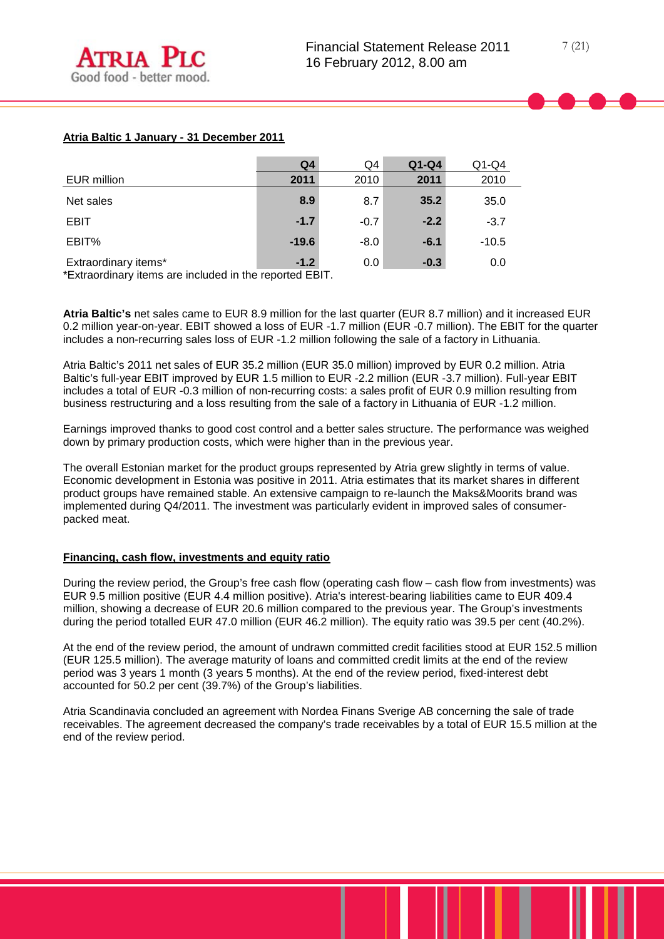# **Atria Baltic 1 January - 31 December 2011**

|                      | Q <sub>4</sub> | Q4     | $Q1-Q4$ | $Q1-Q4$ |
|----------------------|----------------|--------|---------|---------|
| EUR million          | 2011           | 2010   | 2011    | 2010    |
| Net sales            | 8.9            | 8.7    | 35.2    | 35.0    |
| <b>EBIT</b>          | $-1.7$         | $-0.7$ | $-2.2$  | $-3.7$  |
| EBIT%                | $-19.6$        | $-8.0$ | $-6.1$  | $-10.5$ |
| Extraordinary items* | $-1.2$         | 0.0    | $-0.3$  | 0.0     |

\*Extraordinary items are included in the reported EBIT.

**Atria Baltic's** net sales came to EUR 8.9 million for the last quarter (EUR 8.7 million) and it increased EUR 0.2 million year-on-year. EBIT showed a loss of EUR -1.7 million (EUR -0.7 million). The EBIT for the quarter includes a non-recurring sales loss of EUR -1.2 million following the sale of a factory in Lithuania.

Atria Baltic's 2011 net sales of EUR 35.2 million (EUR 35.0 million) improved by EUR 0.2 million. Atria Baltic's full-year EBIT improved by EUR 1.5 million to EUR -2.2 million (EUR -3.7 million). Full-year EBIT includes a total of EUR -0.3 million of non-recurring costs: a sales profit of EUR 0.9 million resulting from business restructuring and a loss resulting from the sale of a factory in Lithuania of EUR -1.2 million.

Earnings improved thanks to good cost control and a better sales structure. The performance was weighed down by primary production costs, which were higher than in the previous year.

The overall Estonian market for the product groups represented by Atria grew slightly in terms of value. Economic development in Estonia was positive in 2011. Atria estimates that its market shares in different product groups have remained stable. An extensive campaign to re-launch the Maks&Moorits brand was implemented during Q4/2011. The investment was particularly evident in improved sales of consumerpacked meat.

#### **Financing, cash flow, investments and equity ratio**

During the review period, the Group's free cash flow (operating cash flow – cash flow from investments) was EUR 9.5 million positive (EUR 4.4 million positive). Atria's interest-bearing liabilities came to EUR 409.4 million, showing a decrease of EUR 20.6 million compared to the previous year. The Group's investments during the period totalled EUR 47.0 million (EUR 46.2 million). The equity ratio was 39.5 per cent (40.2%).

At the end of the review period, the amount of undrawn committed credit facilities stood at EUR 152.5 million (EUR 125.5 million). The average maturity of loans and committed credit limits at the end of the review period was 3 years 1 month (3 years 5 months). At the end of the review period, fixed-interest debt accounted for 50.2 per cent (39.7%) of the Group's liabilities.

Atria Scandinavia concluded an agreement with Nordea Finans Sverige AB concerning the sale of trade receivables. The agreement decreased the company's trade receivables by a total of EUR 15.5 million at the end of the review period.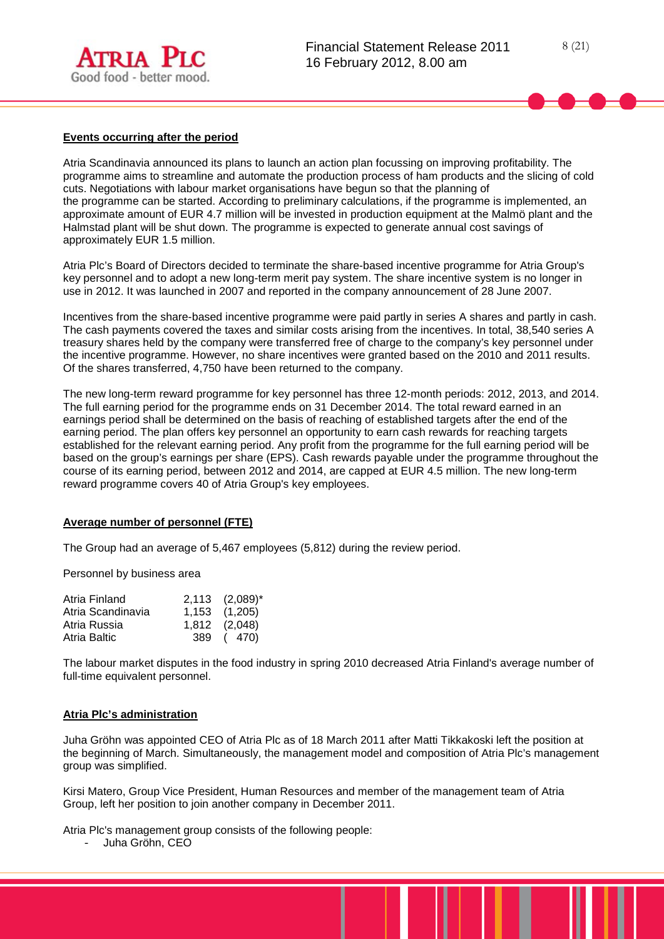

## **Events occurring after the period**

Atria Scandinavia announced its plans to launch an action plan focussing on improving profitability. The programme aims to streamline and automate the production process of ham products and the slicing of cold cuts. Negotiations with labour market organisations have begun so that the planning of the programme can be started. According to preliminary calculations, if the programme is implemented, an approximate amount of EUR 4.7 million will be invested in production equipment at the Malmö plant and the Halmstad plant will be shut down. The programme is expected to generate annual cost savings of approximately EUR 1.5 million.

Atria Plc's Board of Directors decided to terminate the share-based incentive programme for Atria Group's key personnel and to adopt a new long-term merit pay system. The share incentive system is no longer in use in 2012. It was launched in 2007 and reported in the company announcement of 28 June 2007.

Incentives from the share-based incentive programme were paid partly in series A shares and partly in cash. The cash payments covered the taxes and similar costs arising from the incentives. In total, 38,540 series A treasury shares held by the company were transferred free of charge to the company's key personnel under the incentive programme. However, no share incentives were granted based on the 2010 and 2011 results. Of the shares transferred, 4,750 have been returned to the company.

The new long-term reward programme for key personnel has three 12-month periods: 2012, 2013, and 2014. The full earning period for the programme ends on 31 December 2014. The total reward earned in an earnings period shall be determined on the basis of reaching of established targets after the end of the earning period. The plan offers key personnel an opportunity to earn cash rewards for reaching targets established for the relevant earning period. Any profit from the programme for the full earning period will be based on the group's earnings per share (EPS). Cash rewards payable under the programme throughout the course of its earning period, between 2012 and 2014, are capped at EUR 4.5 million. The new long-term reward programme covers 40 of Atria Group's key employees.

#### **Average number of personnel (FTE)**

The Group had an average of 5,467 employees (5,812) during the review period.

Personnel by business area

| $2,113$ $(2,089)^{*}$ |
|-----------------------|
| $1,153$ $(1,205)$     |
| 1,812 (2,048)         |
| 389 (470)             |
|                       |

The labour market disputes in the food industry in spring 2010 decreased Atria Finland's average number of full-time equivalent personnel.

#### **Atria Plc's administration**

Juha Gröhn was appointed CEO of Atria Plc as of 18 March 2011 after Matti Tikkakoski left the position at the beginning of March. Simultaneously, the management model and composition of Atria Plc's management group was simplified.

Kirsi Matero, Group Vice President, Human Resources and member of the management team of Atria Group, left her position to join another company in December 2011.

Atria Plc's management group consists of the following people:

- Juha Gröhn, CEO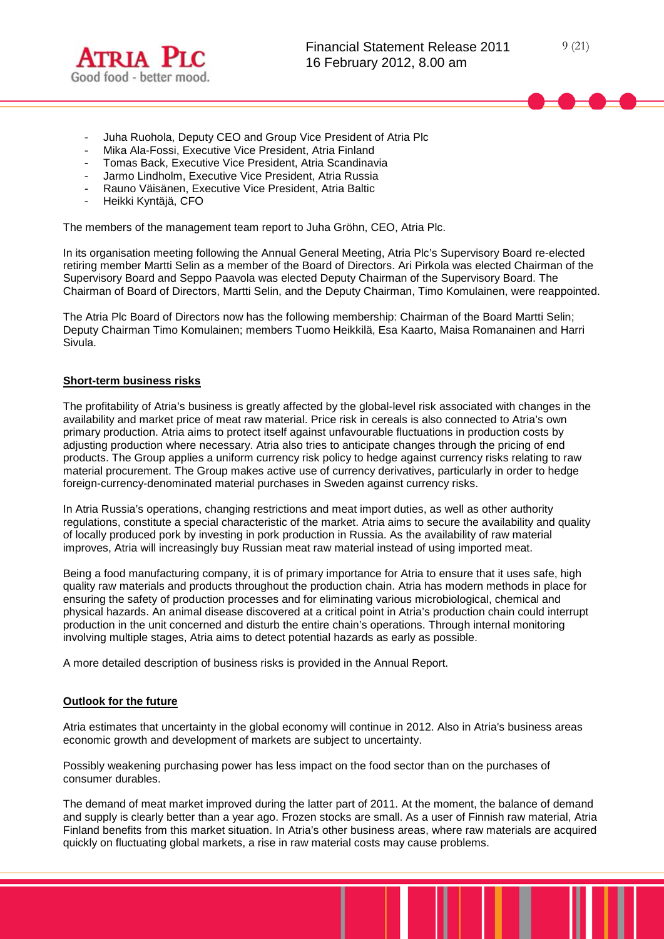

- Juha Ruohola, Deputy CEO and Group Vice President of Atria Plc
- Mika Ala-Fossi, Executive Vice President, Atria Finland
- Tomas Back, Executive Vice President, Atria Scandinavia
- Jarmo Lindholm, Executive Vice President, Atria Russia
- Rauno Väisänen, Executive Vice President, Atria Baltic
- Heikki Kyntäjä, CFO

The members of the management team report to Juha Gröhn, CEO, Atria Plc.

In its organisation meeting following the Annual General Meeting, Atria Plc's Supervisory Board re-elected retiring member Martti Selin as a member of the Board of Directors. Ari Pirkola was elected Chairman of the Supervisory Board and Seppo Paavola was elected Deputy Chairman of the Supervisory Board. The Chairman of Board of Directors, Martti Selin, and the Deputy Chairman, Timo Komulainen, were reappointed.

The Atria Plc Board of Directors now has the following membership: Chairman of the Board Martti Selin; Deputy Chairman Timo Komulainen; members Tuomo Heikkilä, Esa Kaarto, Maisa Romanainen and Harri Sivula.

#### **Short-term business risks**

The profitability of Atria's business is greatly affected by the global-level risk associated with changes in the availability and market price of meat raw material. Price risk in cereals is also connected to Atria's own primary production. Atria aims to protect itself against unfavourable fluctuations in production costs by adjusting production where necessary. Atria also tries to anticipate changes through the pricing of end products. The Group applies a uniform currency risk policy to hedge against currency risks relating to raw material procurement. The Group makes active use of currency derivatives, particularly in order to hedge foreign-currency-denominated material purchases in Sweden against currency risks.

In Atria Russia's operations, changing restrictions and meat import duties, as well as other authority regulations, constitute a special characteristic of the market. Atria aims to secure the availability and quality of locally produced pork by investing in pork production in Russia. As the availability of raw material improves, Atria will increasingly buy Russian meat raw material instead of using imported meat.

Being a food manufacturing company, it is of primary importance for Atria to ensure that it uses safe, high quality raw materials and products throughout the production chain. Atria has modern methods in place for ensuring the safety of production processes and for eliminating various microbiological, chemical and physical hazards. An animal disease discovered at a critical point in Atria's production chain could interrupt production in the unit concerned and disturb the entire chain's operations. Through internal monitoring involving multiple stages, Atria aims to detect potential hazards as early as possible.

A more detailed description of business risks is provided in the Annual Report.

#### **Outlook for the future**

Atria estimates that uncertainty in the global economy will continue in 2012. Also in Atria's business areas economic growth and development of markets are subject to uncertainty.

Possibly weakening purchasing power has less impact on the food sector than on the purchases of consumer durables.

The demand of meat market improved during the latter part of 2011. At the moment, the balance of demand and supply is clearly better than a year ago. Frozen stocks are small. As a user of Finnish raw material, Atria Finland benefits from this market situation. In Atria's other business areas, where raw materials are acquired quickly on fluctuating global markets, a rise in raw material costs may cause problems.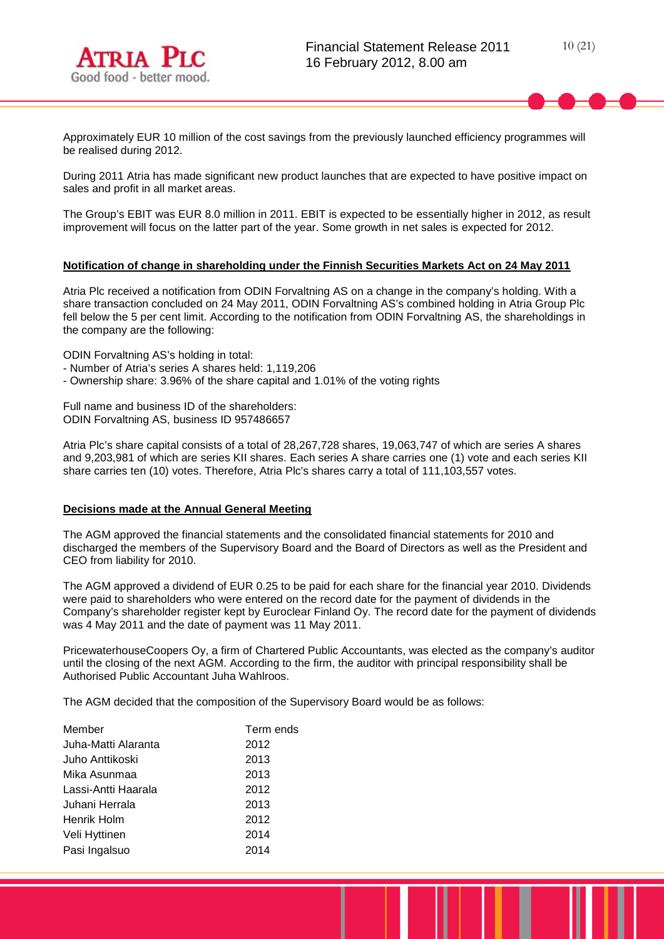

Approximately EUR 10 million of the cost savings from the previously launched efficiency programmes will be realised during 2012.

During 2011 Atria has made significant new product launches that are expected to have positive impact on sales and profit in all market areas.

The Group's EBIT was EUR 8.0 million in 2011. EBIT is expected to be essentially higher in 2012, as result improvement will focus on the latter part of the year. Some growth in net sales is expected for 2012.

#### **Notification of change in shareholding under the Finnish Securities Markets Act on 24 May 2011**

Atria Plc received a notification from ODIN Forvaltning AS on a change in the company's holding. With a share transaction concluded on 24 May 2011, ODIN Forvaltning AS's combined holding in Atria Group Plc fell below the 5 per cent limit. According to the notification from ODIN Forvaltning AS, the shareholdings in the company are the following:

ODIN Forvaltning AS's holding in total:

- Number of Atria's series A shares held: 1,119,206
- Ownership share: 3.96% of the share capital and 1.01% of the voting rights

Full name and business ID of the shareholders: ODIN Forvaltning AS, business ID 957486657

Atria Plc's share capital consists of a total of 28,267,728 shares, 19,063,747 of which are series A shares and 9,203,981 of which are series KII shares. Each series A share carries one (1) vote and each series KII share carries ten (10) votes. Therefore, Atria Plc's shares carry a total of 111,103,557 votes.

# **Decisions made at the Annual General Meeting**

The AGM approved the financial statements and the consolidated financial statements for 2010 and discharged the members of the Supervisory Board and the Board of Directors as well as the President and CEO from liability for 2010.

The AGM approved a dividend of EUR 0.25 to be paid for each share for the financial year 2010. Dividends were paid to shareholders who were entered on the record date for the payment of dividends in the Company's shareholder register kept by Euroclear Finland Oy. The record date for the payment of dividends was 4 May 2011 and the date of payment was 11 May 2011.

PricewaterhouseCoopers Oy, a firm of Chartered Public Accountants, was elected as the company's auditor until the closing of the next AGM. According to the firm, the auditor with principal responsibility shall be Authorised Public Accountant Juha Wahlroos.

The AGM decided that the composition of the Supervisory Board would be as follows:

| Term ends |
|-----------|
| 2012      |
| 2013      |
| 2013      |
| 2012      |
| 2013      |
| 2012      |
| 2014      |
| 2014      |
|           |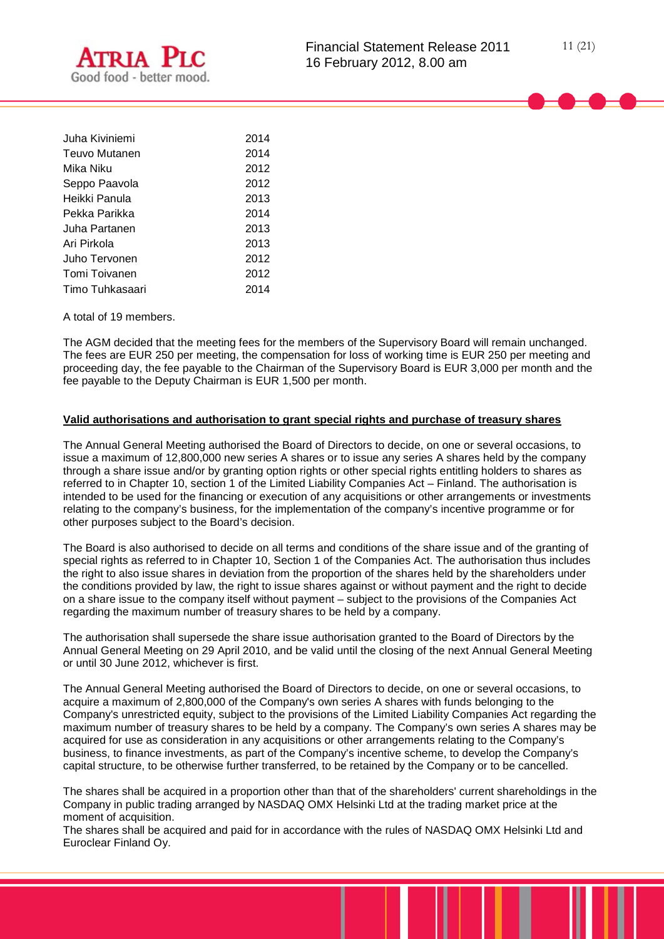

| Juha Kiviniemi  | 2014 |
|-----------------|------|
| Teuvo Mutanen   | 2014 |
| Mika Niku       | 2012 |
| Seppo Paavola   | 2012 |
| Heikki Panula   | 2013 |
| Pekka Parikka   | 2014 |
| Juha Partanen   | 2013 |
| Ari Pirkola     | 2013 |
| Juho Tervonen   | 2012 |
| Tomi Toivanen   | 2012 |
| Timo Tuhkasaari | 2014 |

A total of 19 members.

The AGM decided that the meeting fees for the members of the Supervisory Board will remain unchanged. The fees are EUR 250 per meeting, the compensation for loss of working time is EUR 250 per meeting and proceeding day, the fee payable to the Chairman of the Supervisory Board is EUR 3,000 per month and the fee payable to the Deputy Chairman is EUR 1,500 per month.

# **Valid authorisations and authorisation to grant special rights and purchase of treasury shares**

The Annual General Meeting authorised the Board of Directors to decide, on one or several occasions, to issue a maximum of 12,800,000 new series A shares or to issue any series A shares held by the company through a share issue and/or by granting option rights or other special rights entitling holders to shares as referred to in Chapter 10, section 1 of the Limited Liability Companies Act – Finland. The authorisation is intended to be used for the financing or execution of any acquisitions or other arrangements or investments relating to the company's business, for the implementation of the company's incentive programme or for other purposes subject to the Board's decision.

The Board is also authorised to decide on all terms and conditions of the share issue and of the granting of special rights as referred to in Chapter 10, Section 1 of the Companies Act. The authorisation thus includes the right to also issue shares in deviation from the proportion of the shares held by the shareholders under the conditions provided by law, the right to issue shares against or without payment and the right to decide on a share issue to the company itself without payment – subject to the provisions of the Companies Act regarding the maximum number of treasury shares to be held by a company.

The authorisation shall supersede the share issue authorisation granted to the Board of Directors by the Annual General Meeting on 29 April 2010, and be valid until the closing of the next Annual General Meeting or until 30 June 2012, whichever is first.

The Annual General Meeting authorised the Board of Directors to decide, on one or several occasions, to acquire a maximum of 2,800,000 of the Company's own series A shares with funds belonging to the Company's unrestricted equity, subject to the provisions of the Limited Liability Companies Act regarding the maximum number of treasury shares to be held by a company. The Company's own series A shares may be acquired for use as consideration in any acquisitions or other arrangements relating to the Company's business, to finance investments, as part of the Company's incentive scheme, to develop the Company's capital structure, to be otherwise further transferred, to be retained by the Company or to be cancelled.

The shares shall be acquired in a proportion other than that of the shareholders' current shareholdings in the Company in public trading arranged by NASDAQ OMX Helsinki Ltd at the trading market price at the moment of acquisition.

The shares shall be acquired and paid for in accordance with the rules of NASDAQ OMX Helsinki Ltd and Euroclear Finland Oy.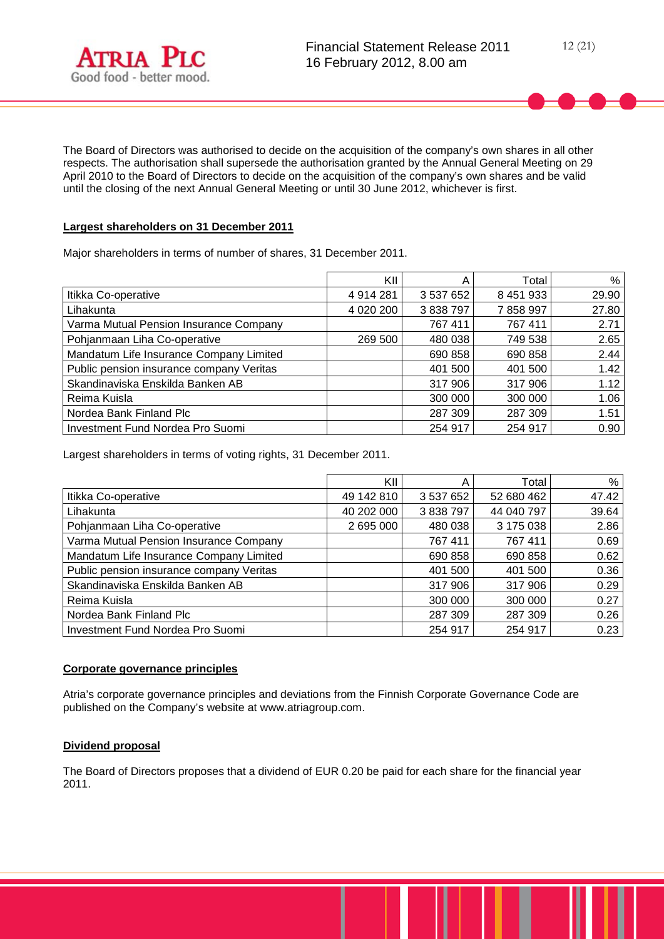

The Board of Directors was authorised to decide on the acquisition of the company's own shares in all other respects. The authorisation shall supersede the authorisation granted by the Annual General Meeting on 29 April 2010 to the Board of Directors to decide on the acquisition of the company's own shares and be valid until the closing of the next Annual General Meeting or until 30 June 2012, whichever is first.

## **Largest shareholders on 31 December 2011**

Major shareholders in terms of number of shares, 31 December 2011.

|                                          | KII         | A         | Total     | %     |
|------------------------------------------|-------------|-----------|-----------|-------|
| Itikka Co-operative                      | 4 914 281   | 3 537 652 | 8 451 933 | 29.90 |
| Lihakunta                                | 4 0 20 20 0 | 3 838 797 | 7858997   | 27.80 |
| Varma Mutual Pension Insurance Company   |             | 767 411   | 767 411   | 2.71  |
| Pohjanmaan Liha Co-operative             | 269 500     | 480 038   | 749 538   | 2.65  |
| Mandatum Life Insurance Company Limited  |             | 690 858   | 690 858   | 2.44  |
| Public pension insurance company Veritas |             | 401 500   | 401 500   | 1.42  |
| Skandinaviska Enskilda Banken AB         |             | 317 906   | 317 906   | 1.12  |
| Reima Kuisla                             |             | 300 000   | 300 000   | 1.06  |
| Nordea Bank Finland Plc                  |             | 287 309   | 287 309   | 1.51  |
| Investment Fund Nordea Pro Suomi         |             | 254 917   | 254 917   | 0.90  |

Largest shareholders in terms of voting rights, 31 December 2011.

|                                          | KII        | Α         | Total      | %     |
|------------------------------------------|------------|-----------|------------|-------|
| Itikka Co-operative                      | 49 142 810 | 3 537 652 | 52 680 462 | 47.42 |
| Lihakunta                                | 40 202 000 | 3 838 797 | 44 040 797 | 39.64 |
| Pohjanmaan Liha Co-operative             | 2 695 000  | 480 038   | 3 175 038  | 2.86  |
| Varma Mutual Pension Insurance Company   |            | 767 411   | 767 411    | 0.69  |
| Mandatum Life Insurance Company Limited  |            | 690 858   | 690 858    | 0.62  |
| Public pension insurance company Veritas |            | 401 500   | 401 500    | 0.36  |
| Skandinaviska Enskilda Banken AB         |            | 317 906   | 317 906    | 0.29  |
| Reima Kuisla                             |            | 300 000   | 300 000    | 0.27  |
| Nordea Bank Finland Plc                  |            | 287 309   | 287 309    | 0.26  |
| Investment Fund Nordea Pro Suomi         |            | 254 917   | 254 917    | 0.23  |

# **Corporate governance principles**

Atria's corporate governance principles and deviations from the Finnish Corporate Governance Code are published on the Company's website at www.atriagroup.com.

## **Dividend proposal**

The Board of Directors proposes that a dividend of EUR 0.20 be paid for each share for the financial year 2011.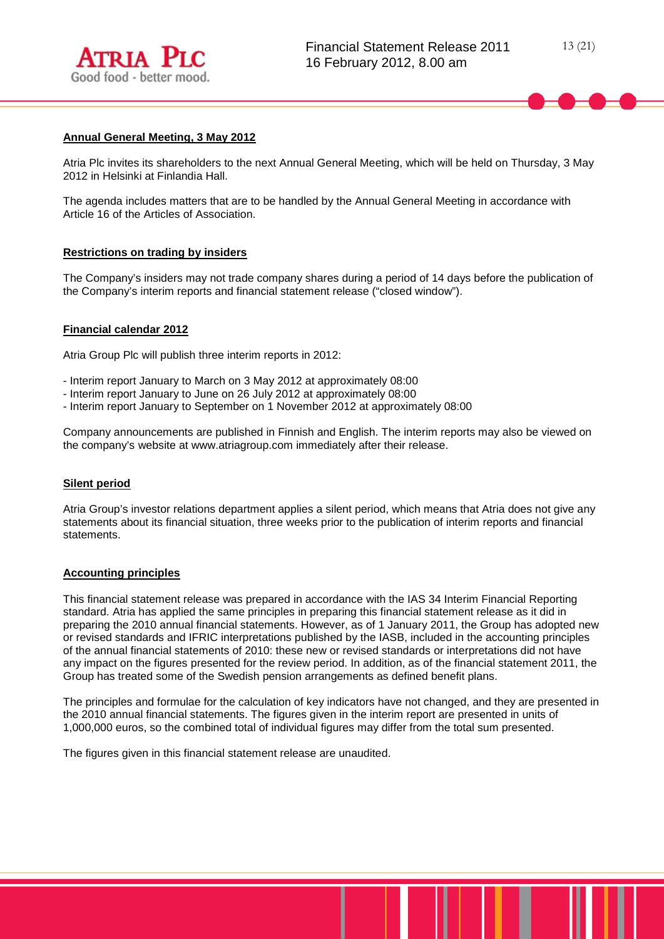

### **Annual General Meeting, 3 May 2012**

Atria Plc invites its shareholders to the next Annual General Meeting, which will be held on Thursday, 3 May 2012 in Helsinki at Finlandia Hall.

The agenda includes matters that are to be handled by the Annual General Meeting in accordance with Article 16 of the Articles of Association.

## **Restrictions on trading by insiders**

The Company's insiders may not trade company shares during a period of 14 days before the publication of the Company's interim reports and financial statement release ("closed window").

#### **Financial calendar 2012**

Atria Group Plc will publish three interim reports in 2012:

- Interim report January to March on 3 May 2012 at approximately 08:00
- Interim report January to June on 26 July 2012 at approximately 08:00
- Interim report January to September on 1 November 2012 at approximately 08:00

Company announcements are published in Finnish and English. The interim reports may also be viewed on the company's website at www.atriagroup.com immediately after their release.

#### **Silent period**

Atria Group's investor relations department applies a silent period, which means that Atria does not give any statements about its financial situation, three weeks prior to the publication of interim reports and financial statements.

#### **Accounting principles**

This financial statement release was prepared in accordance with the IAS 34 Interim Financial Reporting standard. Atria has applied the same principles in preparing this financial statement release as it did in preparing the 2010 annual financial statements. However, as of 1 January 2011, the Group has adopted new or revised standards and IFRIC interpretations published by the IASB, included in the accounting principles of the annual financial statements of 2010: these new or revised standards or interpretations did not have any impact on the figures presented for the review period. In addition, as of the financial statement 2011, the Group has treated some of the Swedish pension arrangements as defined benefit plans.

The principles and formulae for the calculation of key indicators have not changed, and they are presented in the 2010 annual financial statements. The figures given in the interim report are presented in units of 1,000,000 euros, so the combined total of individual figures may differ from the total sum presented.

The figures given in this financial statement release are unaudited.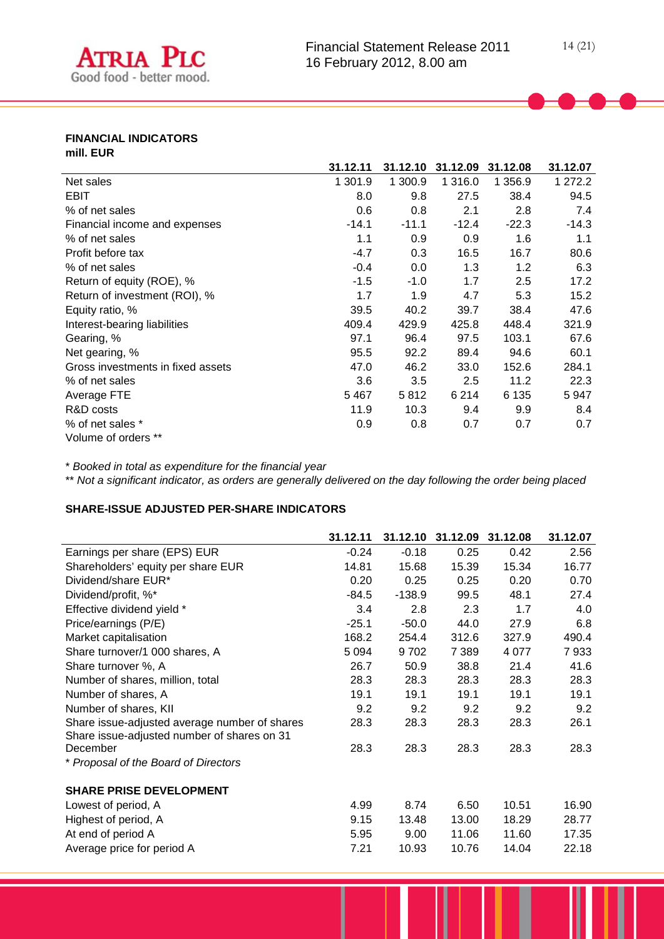

## **FINANCIAL INDICATORS mill. EUR**

|                                   | 31.12.11 | 31.12.10 | 31.12.09 | 31.12.08 | 31.12.07 |
|-----------------------------------|----------|----------|----------|----------|----------|
| Net sales                         | 1 301.9  | 1 300.9  | 1 316.0  | 1 356.9  | 1 272.2  |
| <b>EBIT</b>                       | 8.0      | 9.8      | 27.5     | 38.4     | 94.5     |
| % of net sales                    | 0.6      | 0.8      | 2.1      | 2.8      | 7.4      |
| Financial income and expenses     | $-14.1$  | $-11.1$  | $-12.4$  | $-22.3$  | $-14.3$  |
| % of net sales                    | 1.1      | 0.9      | 0.9      | 1.6      | 1.1      |
| Profit before tax                 | $-4.7$   | 0.3      | 16.5     | 16.7     | 80.6     |
| % of net sales                    | $-0.4$   | 0.0      | 1.3      | 1.2      | 6.3      |
| Return of equity (ROE), %         | $-1.5$   | $-1.0$   | 1.7      | 2.5      | 17.2     |
| Return of investment (ROI), %     | 1.7      | 1.9      | 4.7      | 5.3      | 15.2     |
| Equity ratio, %                   | 39.5     | 40.2     | 39.7     | 38.4     | 47.6     |
| Interest-bearing liabilities      | 409.4    | 429.9    | 425.8    | 448.4    | 321.9    |
| Gearing, %                        | 97.1     | 96.4     | 97.5     | 103.1    | 67.6     |
| Net gearing, %                    | 95.5     | 92.2     | 89.4     | 94.6     | 60.1     |
| Gross investments in fixed assets | 47.0     | 46.2     | 33.0     | 152.6    | 284.1    |
| % of net sales                    | 3.6      | 3.5      | 2.5      | 11.2     | 22.3     |
| Average FTE                       | 5467     | 5812     | 6 2 1 4  | 6 1 3 5  | 5947     |
| R&D costs                         | 11.9     | 10.3     | 9.4      | 9.9      | 8.4      |
| % of net sales *                  | 0.9      | 0.8      | 0.7      | 0.7      | 0.7      |
| Volume of orders **               |          |          |          |          |          |

\* *Booked in total as expenditure for the financial year*

\*\* *Not a significant indicator, as orders are generally delivered on the day following the order being placed*

# **SHARE-ISSUE ADJUSTED PER-SHARE INDICATORS**

|                                               | 31.12.11 | 31.12.10 | 31.12.09 | 31.12.08 | 31.12.07 |
|-----------------------------------------------|----------|----------|----------|----------|----------|
| Earnings per share (EPS) EUR                  | $-0.24$  | $-0.18$  | 0.25     | 0.42     | 2.56     |
| Shareholders' equity per share EUR            | 14.81    | 15.68    | 15.39    | 15.34    | 16.77    |
| Dividend/share EUR*                           | 0.20     | 0.25     | 0.25     | 0.20     | 0.70     |
| Dividend/profit, %*                           | $-84.5$  | $-138.9$ | 99.5     | 48.1     | 27.4     |
| Effective dividend yield *                    | 3.4      | 2.8      | 2.3      | 1.7      | 4.0      |
| Price/earnings (P/E)                          | $-25.1$  | $-50.0$  | 44.0     | 27.9     | 6.8      |
| Market capitalisation                         | 168.2    | 254.4    | 312.6    | 327.9    | 490.4    |
| Share turnover/1 000 shares, A                | 5 0 9 4  | 9702     | 7 3 8 9  | 4 0 7 7  | 7933     |
| Share turnover %, A                           | 26.7     | 50.9     | 38.8     | 21.4     | 41.6     |
| Number of shares, million, total              | 28.3     | 28.3     | 28.3     | 28.3     | 28.3     |
| Number of shares, A                           | 19.1     | 19.1     | 19.1     | 19.1     | 19.1     |
| Number of shares, KII                         | 9.2      | 9.2      | 9.2      | 9.2      | 9.2      |
| Share issue-adjusted average number of shares | 28.3     | 28.3     | 28.3     | 28.3     | 26.1     |
| Share issue-adjusted number of shares on 31   |          |          |          |          |          |
| December                                      | 28.3     | 28.3     | 28.3     | 28.3     | 28.3     |
| * Proposal of the Board of Directors          |          |          |          |          |          |
| <b>SHARE PRISE DEVELOPMENT</b>                |          |          |          |          |          |
| Lowest of period, A                           | 4.99     | 8.74     | 6.50     | 10.51    | 16.90    |
| Highest of period, A                          | 9.15     | 13.48    | 13.00    | 18.29    | 28.77    |
| At end of period A                            | 5.95     | 9.00     | 11.06    | 11.60    | 17.35    |
| Average price for period A                    | 7.21     | 10.93    | 10.76    | 14.04    | 22.18    |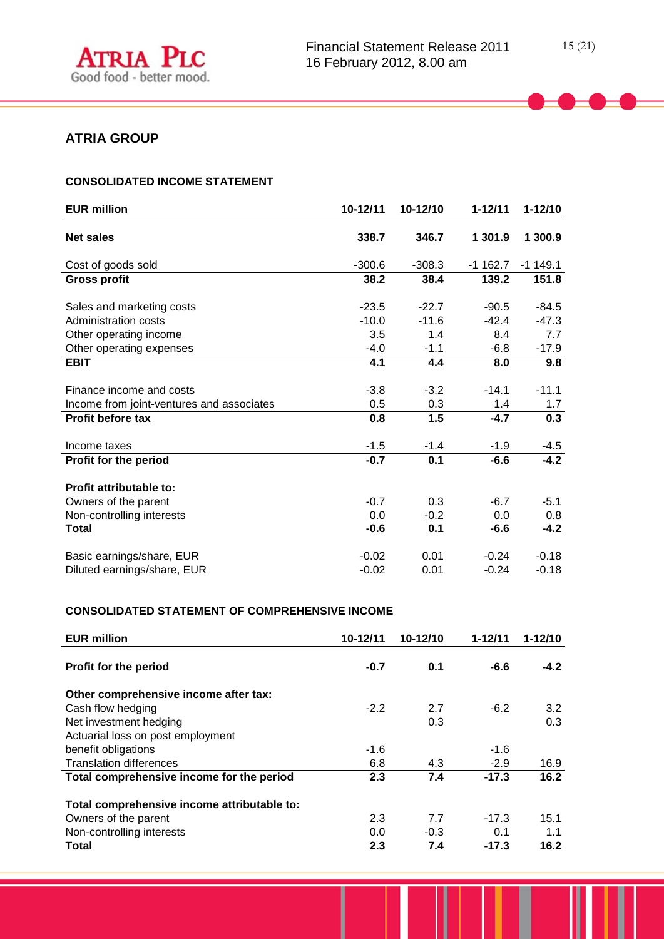# **ATRIA GROUP**

# **CONSOLIDATED INCOME STATEMENT**

| <b>EUR million</b>                        | 10-12/11 | 10-12/10 | $1 - 12/11$ | $1 - 12/10$ |
|-------------------------------------------|----------|----------|-------------|-------------|
| <b>Net sales</b>                          | 338.7    | 346.7    | 1 301.9     | 1 300.9     |
| Cost of goods sold                        | $-300.6$ | $-308.3$ | $-1162.7$   | $-1$ 149.1  |
| <b>Gross profit</b>                       | 38.2     | 38.4     | 139.2       | 151.8       |
| Sales and marketing costs                 | $-23.5$  | $-22.7$  | $-90.5$     | $-84.5$     |
| <b>Administration costs</b>               | $-10.0$  | $-11.6$  | $-42.4$     | $-47.3$     |
| Other operating income                    | 3.5      | 1.4      | 8.4         | 7.7         |
| Other operating expenses                  | $-4.0$   | $-1.1$   | $-6.8$      | $-17.9$     |
| <b>EBIT</b>                               | 4.1      | 4.4      | 8.0         | 9.8         |
|                                           |          |          |             |             |
| Finance income and costs                  | $-3.8$   | $-3.2$   | $-14.1$     | $-11.1$     |
| Income from joint-ventures and associates | 0.5      | 0.3      | 1.4         | 1.7         |
| <b>Profit before tax</b>                  | 0.8      | 1.5      | $-4.7$      | 0.3         |
| Income taxes                              | $-1.5$   | $-1.4$   | $-1.9$      | $-4.5$      |
| Profit for the period                     | $-0.7$   | 0.1      | $-6.6$      | $-4.2$      |
| Profit attributable to:                   |          |          |             |             |
| Owners of the parent                      | $-0.7$   | 0.3      | $-6.7$      | $-5.1$      |
| Non-controlling interests                 | 0.0      | $-0.2$   | 0.0         | 0.8         |
| Total                                     | $-0.6$   | 0.1      | $-6.6$      | $-4.2$      |
| Basic earnings/share, EUR                 | $-0.02$  | 0.01     | $-0.24$     | $-0.18$     |
| Diluted earnings/share, EUR               | $-0.02$  | 0.01     | $-0.24$     | $-0.18$     |

# **CONSOLIDATED STATEMENT OF COMPREHENSIVE INCOME**

| <b>EUR million</b>                          | 10-12/11 | 10-12/10 | $1 - 12/11$ | $1 - 12/10$ |
|---------------------------------------------|----------|----------|-------------|-------------|
| Profit for the period                       | $-0.7$   | 0.1      | $-6.6$      | $-4.2$      |
| Other comprehensive income after tax:       |          |          |             |             |
| Cash flow hedging                           | $-2.2$   | 2.7      | $-6.2$      | 3.2         |
| Net investment hedging                      |          | 0.3      |             | 0.3         |
| Actuarial loss on post employment           |          |          |             |             |
| benefit obligations                         | $-1.6$   |          | $-1.6$      |             |
| <b>Translation differences</b>              | 6.8      | 4.3      | $-2.9$      | 16.9        |
| Total comprehensive income for the period   | 2.3      | 7.4      | $-17.3$     | 16.2        |
| Total comprehensive income attributable to: |          |          |             |             |
| Owners of the parent                        | 2.3      | 7.7      | $-17.3$     | 15.1        |
| Non-controlling interests                   | 0.0      | $-0.3$   | 0.1         | 1.1         |
| Total                                       | 2.3      | 7.4      | $-17.3$     | 16.2        |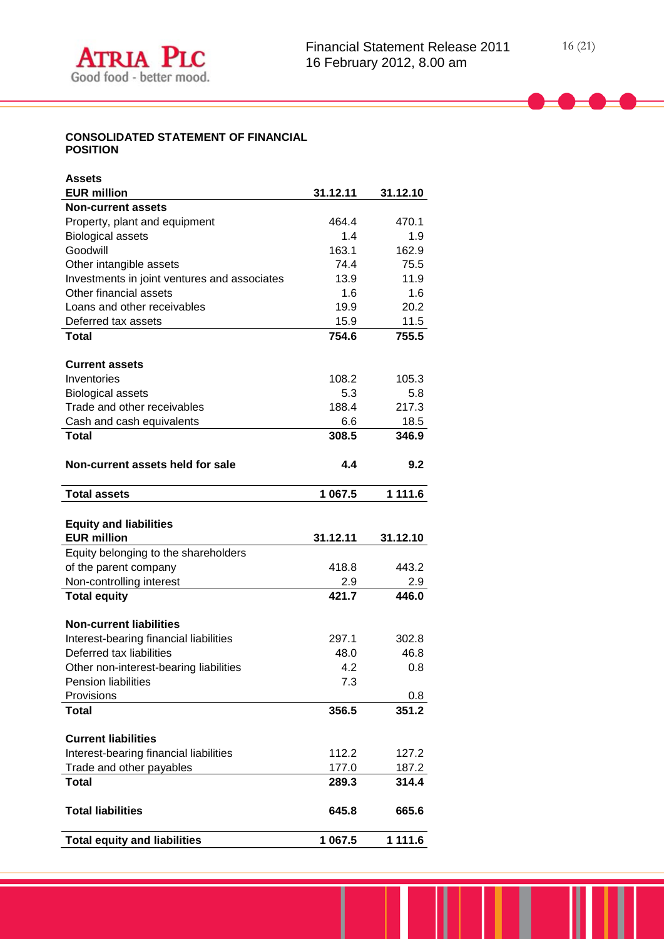# **CONSOLIDATED STATEMENT OF FINANCIAL POSITION**

| <b>Assets</b>                                |          |          |
|----------------------------------------------|----------|----------|
| <b>EUR million</b>                           | 31.12.11 | 31.12.10 |
| <b>Non-current assets</b>                    |          |          |
| Property, plant and equipment                | 464.4    | 470.1    |
| <b>Biological assets</b>                     | 1.4      | 1.9      |
| Goodwill                                     | 163.1    | 162.9    |
| Other intangible assets                      | 74.4     | 75.5     |
| Investments in joint ventures and associates | 13.9     | 11.9     |
| Other financial assets                       | 1.6      | 1.6      |
| Loans and other receivables                  | 19.9     | 20.2     |
| Deferred tax assets                          | 15.9     | 11.5     |
| <b>Total</b>                                 | 754.6    | 755.5    |
| <b>Current assets</b>                        |          |          |
| Inventories                                  | 108.2    | 105.3    |
| <b>Biological assets</b>                     | 5.3      | 5.8      |
| Trade and other receivables                  | 188.4    | 217.3    |
| Cash and cash equivalents                    | 6.6      | 18.5     |
| <b>Total</b>                                 | 308.5    | 346.9    |
| Non-current assets held for sale             | 4.4      | 9.2      |
| <b>Total assets</b>                          | 1 067.5  | 1 111.6  |
|                                              |          |          |
| <b>Equity and liabilities</b>                |          |          |
| <b>EUR million</b>                           | 31.12.11 | 31.12.10 |
| Equity belonging to the shareholders         |          |          |
| of the parent company                        | 418.8    | 443.2    |
| Non-controlling interest                     | 2.9      | 2.9      |
| <b>Total equity</b>                          | 421.7    | 446.0    |
| <b>Non-current liabilities</b>               |          |          |
| Interest-bearing financial liabilities       | 297.1    | 302.8    |
| Deferred tax liabilities                     | 48.0     | 46.8     |
| Other non-interest-bearing liabilities       | 4.2      | 0.8      |
| Pension liabilities                          | 7.3      |          |
| Provisions                                   |          | 0.8      |
| <b>Total</b>                                 | 356.5    | 351.2    |
| <b>Current liabilities</b>                   |          |          |
| Interest-bearing financial liabilities       | 112.2    | 127.2    |
| Trade and other payables                     | 177.0    | 187.2    |
| Total                                        | 289.3    | 314.4    |
| <b>Total liabilities</b>                     | 645.8    | 665.6    |
| <b>Total equity and liabilities</b>          | 1 067.5  | 1 111.6  |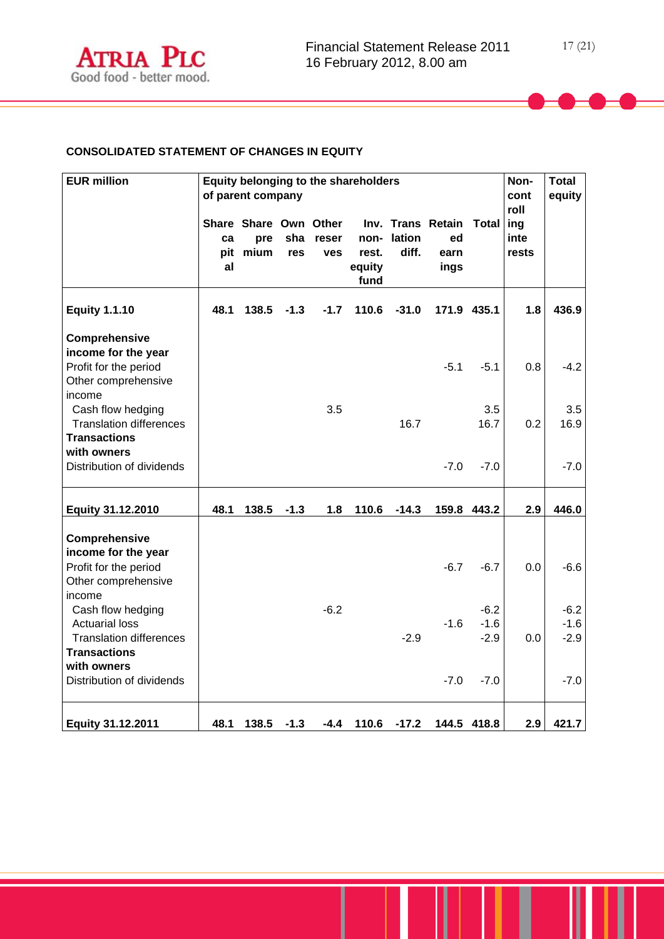

# **CONSOLIDATED STATEMENT OF CHANGES IN EQUITY**

| <b>EUR million</b>                                                                                                 |          | of parent company                        |            |                     | Equity belonging to the shareholders |                     |                                         |                            | Non-<br>cont          | <b>Total</b><br>equity     |
|--------------------------------------------------------------------------------------------------------------------|----------|------------------------------------------|------------|---------------------|--------------------------------------|---------------------|-----------------------------------------|----------------------------|-----------------------|----------------------------|
|                                                                                                                    | ca<br>al | Share Share Own Other<br>pre<br>pit mium | sha<br>res | reser<br><b>ves</b> | rest.<br>equity<br>fund              | non-lation<br>diff. | Inv. Trans Retain<br>ed<br>earn<br>ings | Total   ing                | roll<br>inte<br>rests |                            |
| <b>Equity 1.1.10</b>                                                                                               | 48.1     | 138.5                                    | $-1.3$     | $-1.7$              | 110.6                                | $-31.0$             |                                         | 171.9 435.1                | 1.8                   | 436.9                      |
| Comprehensive<br>income for the year<br>Profit for the period<br>Other comprehensive<br>income                     |          |                                          |            |                     |                                      |                     | $-5.1$                                  | $-5.1$                     | 0.8                   | $-4.2$                     |
| Cash flow hedging<br><b>Translation differences</b><br><b>Transactions</b>                                         |          |                                          |            | 3.5                 |                                      | 16.7                |                                         | 3.5<br>16.7                | 0.2                   | 3.5<br>16.9                |
| with owners<br>Distribution of dividends                                                                           |          |                                          |            |                     |                                      |                     | $-7.0$                                  | $-7.0$                     |                       | $-7.0$                     |
| Equity 31.12.2010                                                                                                  | 48.1     | 138.5                                    | $-1.3$     | 1.8                 | 110.6                                | $-14.3$             |                                         | 159.8 443.2                | 2.9                   | 446.0                      |
| Comprehensive<br>income for the year<br>Profit for the period<br>Other comprehensive<br>income                     |          |                                          |            |                     |                                      |                     | $-6.7$                                  | $-6.7$                     | 0.0                   | $-6.6$                     |
| Cash flow hedging<br><b>Actuarial loss</b><br><b>Translation differences</b><br><b>Transactions</b><br>with owners |          |                                          |            | $-6.2$              |                                      | $-2.9$              | $-1.6$                                  | $-6.2$<br>$-1.6$<br>$-2.9$ | 0.0                   | $-6.2$<br>$-1.6$<br>$-2.9$ |
| Distribution of dividends                                                                                          |          |                                          |            |                     |                                      |                     | $-7.0$                                  | $-7.0$                     |                       | $-7.0$                     |
| Equity 31.12.2011                                                                                                  | 48.1     | 138.5                                    | $-1.3$     | $-4.4$              | 110.6                                | $-17.2$             |                                         | 144.5 418.8                | 2.9                   | 421.7                      |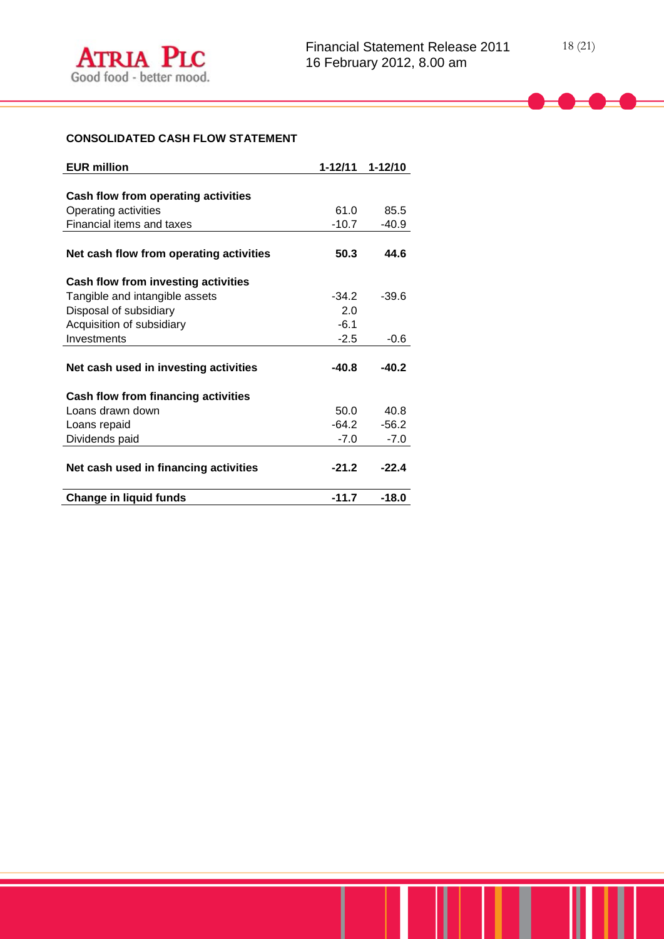# **CONSOLIDATED CASH FLOW STATEMENT**

| <b>EUR million</b>                         | 1-12/11 | $1 - 12/10$ |
|--------------------------------------------|---------|-------------|
|                                            |         |             |
| Cash flow from operating activities        |         |             |
| Operating activities                       | 61.0    | 85.5        |
| Financial items and taxes                  | $-10.7$ | -40.9       |
|                                            |         |             |
| Net cash flow from operating activities    | 50.3    | 44.6        |
| Cash flow from investing activities        |         |             |
| Tangible and intangible assets             | $-34.2$ | $-39.6$     |
| Disposal of subsidiary                     | 2.0     |             |
| Acquisition of subsidiary                  | $-6.1$  |             |
| Investments                                | $-2.5$  | $-0.6$      |
|                                            |         |             |
| Net cash used in investing activities      | $-40.8$ | $-40.2$     |
| <b>Cash flow from financing activities</b> |         |             |
| Loans drawn down                           | 50.0    | 40.8        |
| Loans repaid                               | $-64.2$ | $-56.2$     |
| Dividends paid                             | $-7.0$  | $-7.0$      |
|                                            |         |             |
| Net cash used in financing activities      | $-21.2$ | $-22.4$     |
| <b>Change in liquid funds</b>              | $-11.7$ | $-18.0$     |
|                                            |         |             |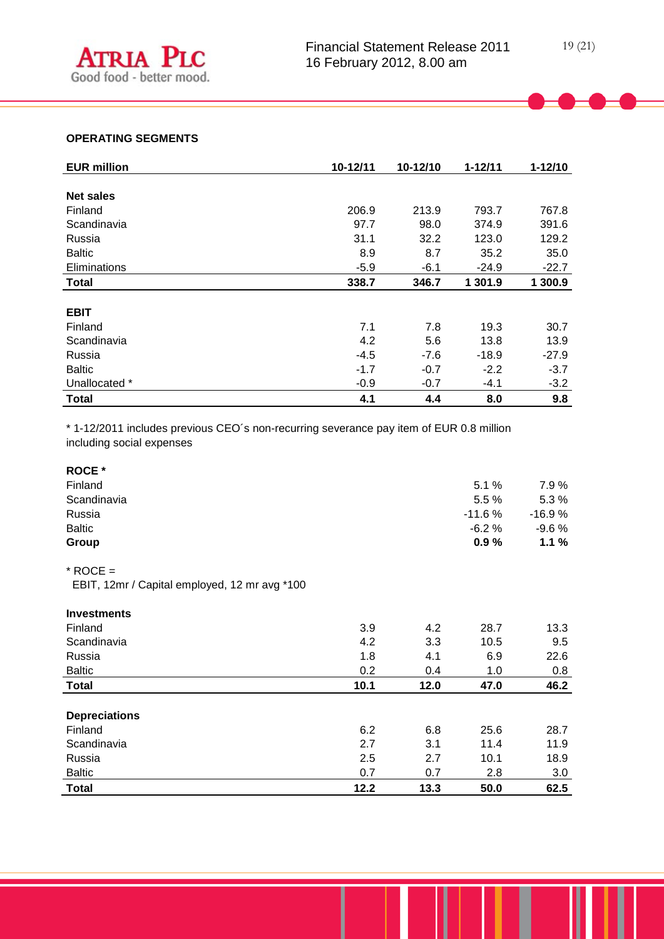# **OPERATING SEGMENTS**

| <b>EUR million</b> | 10-12/11 | 10-12/10 | $1 - 12/11$ | $1 - 12/10$ |
|--------------------|----------|----------|-------------|-------------|
|                    |          |          |             |             |
| <b>Net sales</b>   |          |          |             |             |
| Finland            | 206.9    | 213.9    | 793.7       | 767.8       |
| Scandinavia        | 97.7     | 98.0     | 374.9       | 391.6       |
| Russia             | 31.1     | 32.2     | 123.0       | 129.2       |
| <b>Baltic</b>      | 8.9      | 8.7      | 35.2        | 35.0        |
| Eliminations       | $-5.9$   | $-6.1$   | $-24.9$     | $-22.7$     |
| <b>Total</b>       | 338.7    | 346.7    | 1 301.9     | 1 300.9     |
|                    |          |          |             |             |
| <b>EBIT</b>        |          |          |             |             |
| Finland            | 7.1      | 7.8      | 19.3        | 30.7        |
| Scandinavia        | 4.2      | 5.6      | 13.8        | 13.9        |
| Russia             | $-4.5$   | $-7.6$   | $-18.9$     | $-27.9$     |
| <b>Baltic</b>      | $-1.7$   | $-0.7$   | $-2.2$      | $-3.7$      |
| Unallocated *      | $-0.9$   | $-0.7$   | $-4.1$      | $-3.2$      |
| <b>Total</b>       | 4.1      | 4.4      | 8.0         | 9.8         |

\* 1-12/2011 includes previous CEO´s non-recurring severance pay item of EUR 0.8 million including social expenses

| <b>ROCE</b> * |          |          |
|---------------|----------|----------|
| Finland       | 5.1%     | 7.9%     |
| Scandinavia   | 5.5%     | 5.3%     |
| Russia        | $-11.6%$ | $-16.9%$ |
| <b>Baltic</b> | $-6.2%$  | $-9.6%$  |
| Group         | 0.9%     | 1.1%     |

# $*$  ROCE =

EBIT, 12mr / Capital employed, 12 mr avg \*100

| <b>Investments</b>   |      |      |      |      |
|----------------------|------|------|------|------|
| Finland              | 3.9  | 4.2  | 28.7 | 13.3 |
| Scandinavia          | 4.2  | 3.3  | 10.5 | 9.5  |
| Russia               | 1.8  | 4.1  | 6.9  | 22.6 |
| <b>Baltic</b>        | 0.2  | 0.4  | 1.0  | 0.8  |
| <b>Total</b>         | 10.1 | 12.0 | 47.0 | 46.2 |
|                      |      |      |      |      |
| <b>Depreciations</b> |      |      |      |      |
| Finland              | 6.2  | 6.8  | 25.6 | 28.7 |
| Scandinavia          | 2.7  | 3.1  | 11.4 | 11.9 |
| Russia               | 2.5  | 2.7  | 10.1 | 18.9 |
| <b>Baltic</b>        | 0.7  | 0.7  | 2.8  | 3.0  |
| <b>Total</b>         | 12.2 | 13.3 | 50.0 | 62.5 |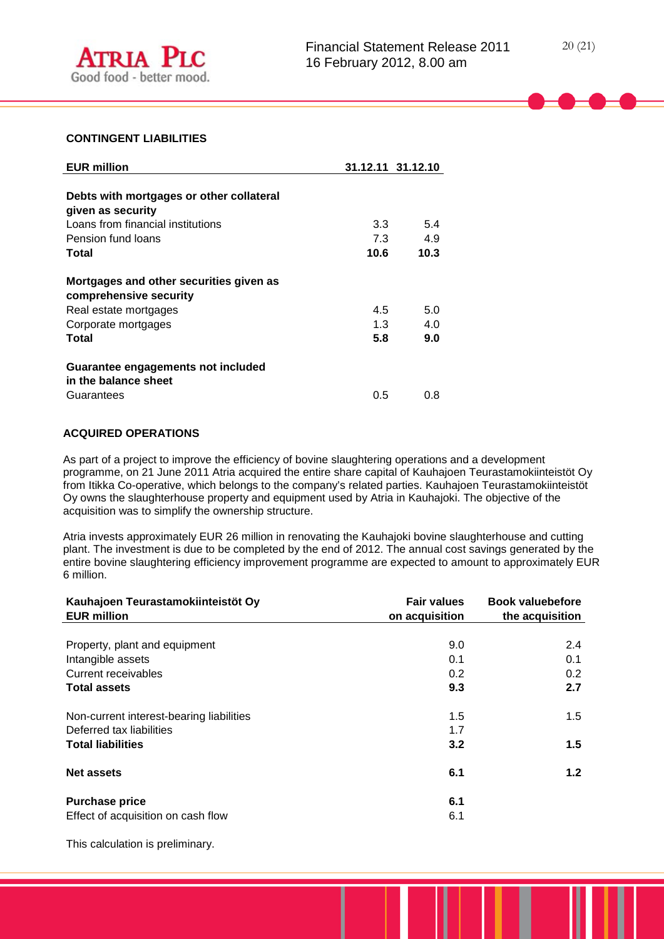

#### **CONTINGENT LIABILITIES**

| <b>EUR million</b>                                                                                                         |                   | 31.12.11 31.12.10 |
|----------------------------------------------------------------------------------------------------------------------------|-------------------|-------------------|
| Debts with mortgages or other collateral<br>given as security                                                              |                   |                   |
| Loans from financial institutions                                                                                          | 3.3               | 5.4               |
| Pension fund loans                                                                                                         | 7.3               | 4.9               |
| Total                                                                                                                      | 10.6              | 10.3              |
| Mortgages and other securities given as<br>comprehensive security<br>Real estate mortgages<br>Corporate mortgages<br>Total | 4.5<br>1.3<br>5.8 | 5.0<br>4.0<br>9.0 |
| Guarantee engagements not included<br>in the balance sheet<br>Guarantees                                                   | 0.5               | 0.8               |

# **ACQUIRED OPERATIONS**

As part of a project to improve the efficiency of bovine slaughtering operations and a development programme, on 21 June 2011 Atria acquired the entire share capital of Kauhajoen Teurastamokiinteistöt Oy from Itikka Co-operative, which belongs to the company's related parties. Kauhajoen Teurastamokiinteistöt Oy owns the slaughterhouse property and equipment used by Atria in Kauhajoki. The objective of the acquisition was to simplify the ownership structure.

Atria invests approximately EUR 26 million in renovating the Kauhajoki bovine slaughterhouse and cutting plant. The investment is due to be completed by the end of 2012. The annual cost savings generated by the entire bovine slaughtering efficiency improvement programme are expected to amount to approximately EUR 6 million.

| Kauhajoen Teurastamokiinteistöt Oy<br><b>EUR million</b> | <b>Fair values</b><br>on acquisition | <b>Book valuebefore</b><br>the acquisition |
|----------------------------------------------------------|--------------------------------------|--------------------------------------------|
|                                                          |                                      |                                            |
| Property, plant and equipment                            | 9.0                                  | 2.4                                        |
| Intangible assets                                        | 0.1                                  | 0.1                                        |
| Current receivables                                      | 0.2                                  | 0.2                                        |
| <b>Total assets</b>                                      | 9.3                                  | 2.7                                        |
| Non-current interest-bearing liabilities                 | 1.5                                  | 1.5                                        |
| Deferred tax liabilities                                 | 1.7                                  |                                            |
| <b>Total liabilities</b>                                 | 3.2                                  | 1.5                                        |
| <b>Net assets</b>                                        | 6.1                                  | 1.2                                        |
| <b>Purchase price</b>                                    | 6.1                                  |                                            |
| Effect of acquisition on cash flow                       | 6.1                                  |                                            |

This calculation is preliminary.